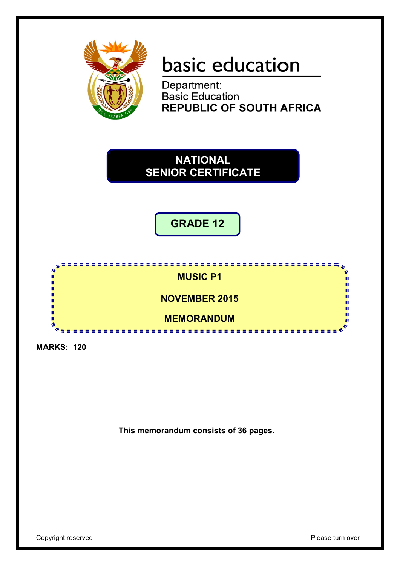

# basic education

Department:<br>Basic Education **REPUBLIC OF SOUTH AFRICA** 

# **NATIONAL SENIOR CERTIFICATE**

**GRADE 12**



**MARKS: 120**

**This memorandum consists of 36 pages.**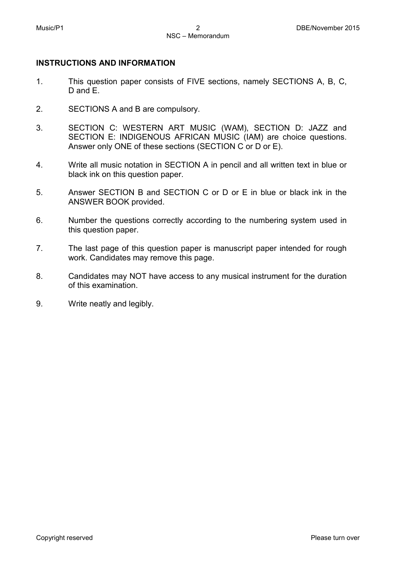# **INSTRUCTIONS AND INFORMATION**

- 1. This question paper consists of FIVE sections, namely SECTIONS A, B, C, D and E.
- 2. SECTIONS A and B are compulsory.
- 3. SECTION C: WESTERN ART MUSIC (WAM), SECTION D: JAZZ and SECTION E: INDIGENOUS AFRICAN MUSIC (IAM) are choice questions. Answer only ONE of these sections (SECTION C or D or E).
- 4. Write all music notation in SECTION A in pencil and all written text in blue or black ink on this question paper.
- 5. Answer SECTION B and SECTION C or D or E in blue or black ink in the ANSWER BOOK provided.
- 6. Number the questions correctly according to the numbering system used in this question paper.
- 7. The last page of this question paper is manuscript paper intended for rough work. Candidates may remove this page.
- 8. Candidates may NOT have access to any musical instrument for the duration of this examination.
- 9. Write neatly and legibly.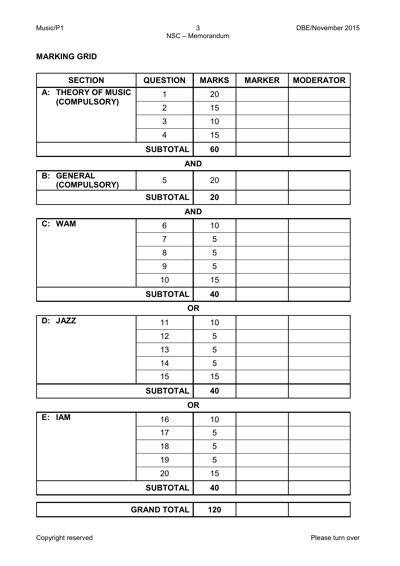# **MARKING GRID**

| <b>SECTION</b>                    | <b>QUESTION</b>         | <b>MARKS</b> | <b>MARKER</b> | <b>MODERATOR</b> |  |  |  |  |
|-----------------------------------|-------------------------|--------------|---------------|------------------|--|--|--|--|
| <b>THEORY OF MUSIC</b><br>A:      | $\mathbf{1}$            | 20           |               |                  |  |  |  |  |
| (COMPULSORY)                      | $\overline{2}$          | 15           |               |                  |  |  |  |  |
|                                   | 3                       | 10           |               |                  |  |  |  |  |
|                                   | $\overline{\mathbf{4}}$ | 15           |               |                  |  |  |  |  |
|                                   | <b>SUBTOTAL</b>         | 60           |               |                  |  |  |  |  |
| <b>AND</b>                        |                         |              |               |                  |  |  |  |  |
| <b>B: GENERAL</b><br>(COMPULSORY) | 5                       | 20           |               |                  |  |  |  |  |
|                                   | <b>SUBTOTAL</b>         | 20           |               |                  |  |  |  |  |
|                                   | <b>AND</b>              |              |               |                  |  |  |  |  |
| C: WAM                            | 6                       | 10           |               |                  |  |  |  |  |
|                                   | $\overline{7}$          | 5            |               |                  |  |  |  |  |
|                                   | 8                       | 5            |               |                  |  |  |  |  |
|                                   | 9                       | 5            |               |                  |  |  |  |  |
|                                   | 10                      | 15           |               |                  |  |  |  |  |
|                                   | <b>SUBTOTAL</b>         | 40           |               |                  |  |  |  |  |
|                                   |                         | <b>OR</b>    |               |                  |  |  |  |  |
| D: JAZZ                           | 11                      | 10           |               |                  |  |  |  |  |
|                                   | 12                      | 5            |               |                  |  |  |  |  |
|                                   | 13                      | 5            |               |                  |  |  |  |  |
|                                   | 14                      | 5            |               |                  |  |  |  |  |
|                                   | 15                      | 15           |               |                  |  |  |  |  |
|                                   | <b>SUBTOTAL</b>         | 40           |               |                  |  |  |  |  |
|                                   |                         | <b>OR</b>    |               |                  |  |  |  |  |
| E: IAM                            | 16                      | 10           |               |                  |  |  |  |  |
|                                   | 17                      | 5            |               |                  |  |  |  |  |
|                                   | 18                      | 5            |               |                  |  |  |  |  |
|                                   | 19                      | 5            |               |                  |  |  |  |  |
|                                   | 20                      | 15           |               |                  |  |  |  |  |
|                                   | <b>SUBTOTAL</b>         | 40           |               |                  |  |  |  |  |
|                                   | <b>GRAND TOTAL</b>      | 120          |               |                  |  |  |  |  |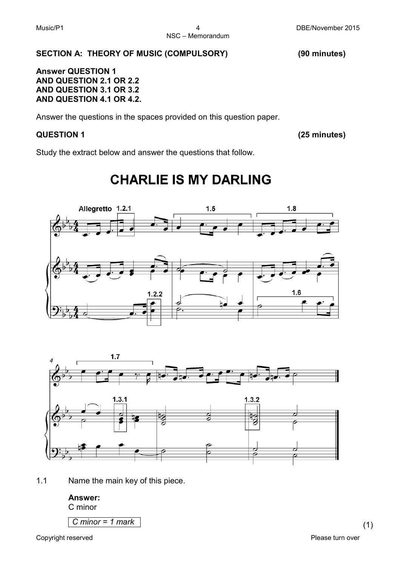# **SECTION A: THEORY OF MUSIC (COMPULSORY) (90 minutes)**

**Answer QUESTION 1 AND QUESTION 2.1 OR 2.2 AND QUESTION 3.1 OR 3.2 AND QUESTION 4.1 OR 4.2.**

Answer the questions in the spaces provided on this question paper.

# **QUESTION 1 (25 minutes)**

Study the extract below and answer the questions that follow.

# **CHARLIE IS MY DARLING**





1.1 Name the main key of this piece.

# **Answer:**

C minor

*C minor = 1 mark* (1)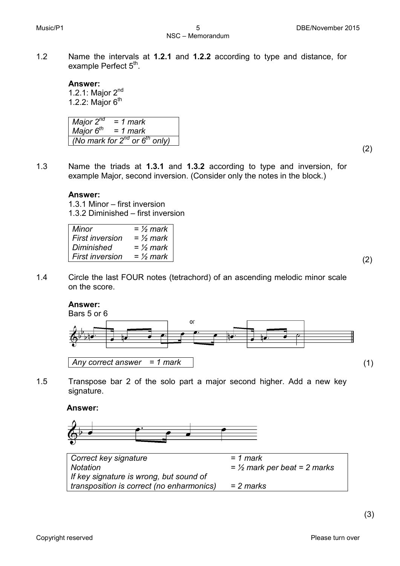1.2 Name the intervals at **1.2.1** and **1.2.2** according to type and distance, for example Perfect  $5<sup>th</sup>$ .

#### **Answer:**

1.2.1: Major 2nd 1.2.2: Major  $6<sup>th</sup>$ 

*Major 2nd Major 6th = 1 mark = 1 mark (No mark for 2nd or 6th only)*

(2)

1.3 Name the triads at **1.3.1** and **1.3.2** according to type and inversion, for example Major, second inversion. (Consider only the notes in the block.)

# **Answer:**

1.3.1 Minor – first inversion 1.3.2 Diminished – first inversion

| Minor             | = $\frac{1}{2}$ mark |
|-------------------|----------------------|
|                   |                      |
| First inversion   | = $\frac{1}{2}$ mark |
|                   |                      |
| <b>Diminished</b> | = $\frac{1}{2}$ mark |
|                   |                      |
| First inversion   | = $\frac{1}{2}$ mark |
|                   |                      |

1.4 Circle the last FOUR notes (tetrachord) of an ascending melodic minor scale on the score.

# **Answer:**



1.5 Transpose bar 2 of the solo part a major second higher. Add a new key signature.

**Answer:**



*Correct key signature Notation If key signature is wrong, but sound of transposition is correct (no enharmonics) = 1 mark = ½ mark per beat = 2 marks = 2 marks*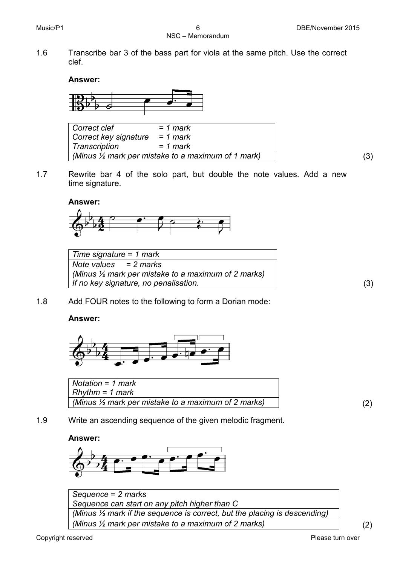1.6 Transcribe bar 3 of the bass part for viola at the same pitch. Use the correct clef.

# **Answer:**



*Correct clef Correct key signature Transcription = 1 mark = 1 mark = 1 mark (Minus ½ mark per mistake to a maximum of 1 mark)* (3)

1.7 Rewrite bar 4 of the solo part, but double the note values. Add a new time signature.

# **Answer:**



| Time signature = 1 mark                                        |
|----------------------------------------------------------------|
| Note values $= 2$ marks                                        |
| (Minus $\frac{1}{2}$ mark per mistake to a maximum of 2 marks) |
| If no key signature, no penalisation.                          |

1.8 Add FOUR notes to the following to form a Dorian mode:

# **Answer:**



| Notation = 1 mark                                              |  |
|----------------------------------------------------------------|--|
| $R$ hythm = 1 mark                                             |  |
| (Minus $\frac{1}{2}$ mark per mistake to a maximum of 2 marks) |  |

1.9 Write an ascending sequence of the given melodic fragment.

# **Answer:**



*Sequence* = *2 marks Sequence can start on any pitch higher than C (Minus ½ mark if the sequence is correct, but the placing is descending) (Minus ½ mark per mistake to a maximum of 2 marks)* (2)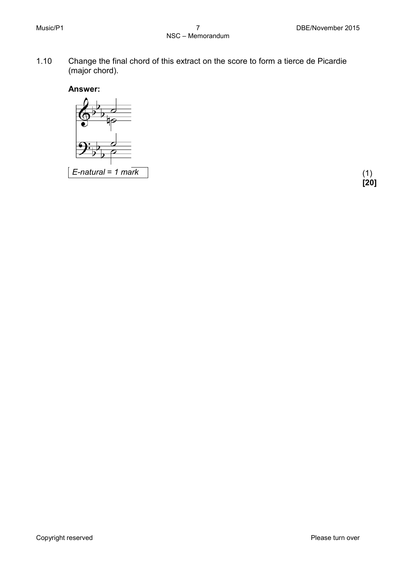1.10 Change the final chord of this extract on the score to form a tierce de Picardie (major chord).





**[20]**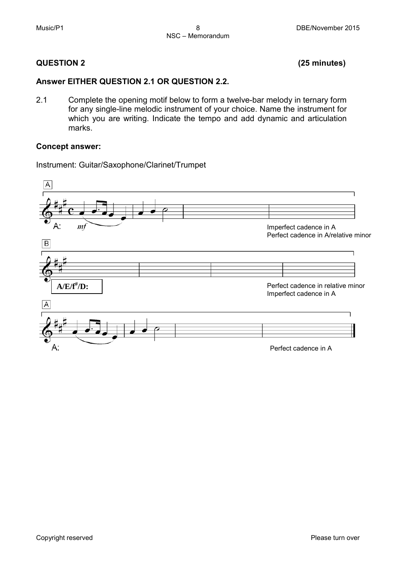# **QUESTION 2 (25 minutes)**

# **Answer EITHER QUESTION 2.1 OR QUESTION 2.2.**

2.1 Complete the opening motif below to form a twelve-bar melody in ternary form for any single-line melodic instrument of your choice. Name the instrument for which you are writing. Indicate the tempo and add dynamic and articulation marks.

# **Concept answer:**

Instrument: Guitar/Saxophone/Clarinet/Trumpet

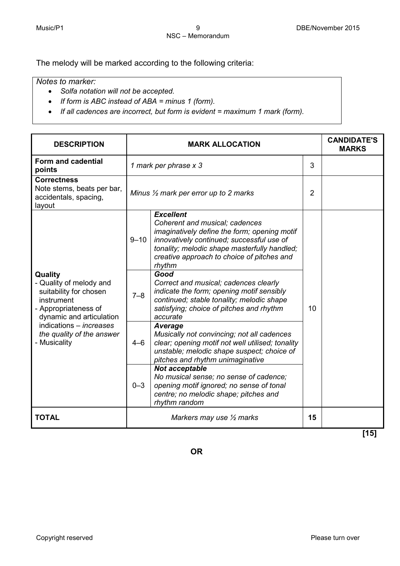The melody will be marked according to the following criteria:

# *Notes to marker:*

- *Solfa notation will not be accepted.*
- *If form is ABC instead of ABA = minus 1 (form).*
- *If all cadences are incorrect, but form is evident = maximum 1 mark (form).*

| <b>DESCRIPTION</b>                                                                                                                                                                                            |                                     | <b>MARK ALLOCATION</b>                                                                                                                                                                                                                                  | <b>CANDIDATE'S</b><br><b>MARKS</b> |  |
|---------------------------------------------------------------------------------------------------------------------------------------------------------------------------------------------------------------|-------------------------------------|---------------------------------------------------------------------------------------------------------------------------------------------------------------------------------------------------------------------------------------------------------|------------------------------------|--|
| Form and cadential<br>points                                                                                                                                                                                  |                                     | 1 mark per phrase x 3                                                                                                                                                                                                                                   | 3                                  |  |
| <b>Correctness</b><br>Note stems, beats per bar,<br>accidentals, spacing,<br>layout                                                                                                                           |                                     | Minus $\frac{1}{2}$ mark per error up to 2 marks                                                                                                                                                                                                        |                                    |  |
|                                                                                                                                                                                                               | $9 - 10$                            | <b>Excellent</b><br>Coherent and musical; cadences<br>imaginatively define the form; opening motif<br>innovatively continued; successful use of<br>tonality; melodic shape masterfully handled;<br>creative approach to choice of pitches and<br>rhythm |                                    |  |
| Quality<br>- Quality of melody and<br>suitability for chosen<br>instrument<br>- Appropriateness of<br>dynamic and articulation<br>indications – <i>increases</i><br>the quality of the answer<br>- Musicality | $7 - 8$                             | Good<br>Correct and musical; cadences clearly<br>indicate the form; opening motif sensibly<br>continued; stable tonality; melodic shape<br>satisfying; choice of pitches and rhythm<br>accurate                                                         | 10                                 |  |
|                                                                                                                                                                                                               | $4 - 6$                             | <b>Average</b><br>Musically not convincing; not all cadences<br>clear; opening motif not well utilised; tonality<br>unstable; melodic shape suspect; choice of<br>pitches and rhythm unimaginative                                                      |                                    |  |
|                                                                                                                                                                                                               | $0 - 3$                             | Not acceptable<br>No musical sense; no sense of cadence;<br>opening motif ignored; no sense of tonal<br>centre; no melodic shape; pitches and<br>rhythm random                                                                                          |                                    |  |
| <b>TOTAL</b>                                                                                                                                                                                                  | Markers may use $\frac{1}{2}$ marks |                                                                                                                                                                                                                                                         | 15                                 |  |

**[15]**

**OR**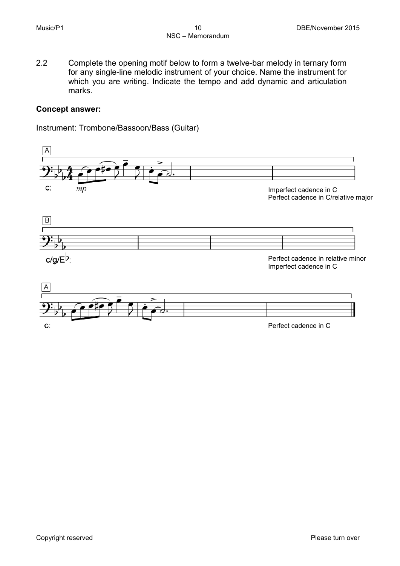2.2 Complete the opening motif below to form a twelve-bar melody in ternary form for any single-line melodic instrument of your choice. Name the instrument for which you are writing. Indicate the tempo and add dynamic and articulation marks.

# **Concept answer:**

Instrument: Trombone/Bassoon/Bass (Guitar)

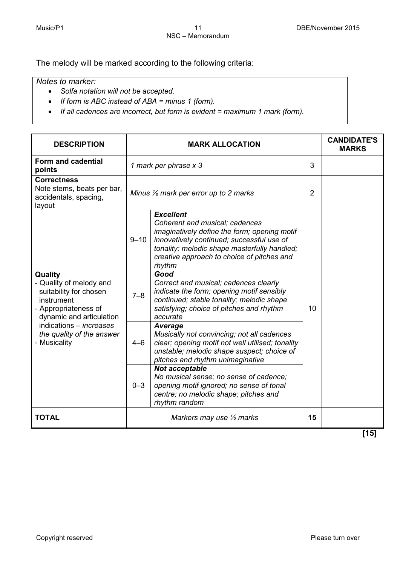The melody will be marked according to the following criteria:

# *Notes to marker:*

- *Solfa notation will not be accepted.*
- *If form is ABC instead of ABA = minus 1 (form).*
- *If all cadences are incorrect, but form is evident = maximum 1 mark (form).*

| <b>DESCRIPTION</b>                                                                                                                                                                                            |          | <b>MARK ALLOCATION</b>                                                                                                                                                                                                                                  |    | <b>CANDIDATE'S</b><br><b>MARKS</b> |
|---------------------------------------------------------------------------------------------------------------------------------------------------------------------------------------------------------------|----------|---------------------------------------------------------------------------------------------------------------------------------------------------------------------------------------------------------------------------------------------------------|----|------------------------------------|
| Form and cadential<br>points                                                                                                                                                                                  |          | 1 mark per phrase x 3                                                                                                                                                                                                                                   | 3  |                                    |
| <b>Correctness</b><br>Note stems, beats per bar,<br>accidentals, spacing,<br>layout                                                                                                                           |          | Minus $\frac{1}{2}$ mark per error up to 2 marks                                                                                                                                                                                                        |    |                                    |
|                                                                                                                                                                                                               | $9 - 10$ | <b>Excellent</b><br>Coherent and musical; cadences<br>imaginatively define the form; opening motif<br>innovatively continued; successful use of<br>tonality; melodic shape masterfully handled;<br>creative approach to choice of pitches and<br>rhythm |    |                                    |
| Quality<br>- Quality of melody and<br>suitability for chosen<br>instrument<br>- Appropriateness of<br>dynamic and articulation<br>indications - <i>increases</i><br>the quality of the answer<br>- Musicality | $7 - 8$  | Good<br>Correct and musical; cadences clearly<br>indicate the form; opening motif sensibly<br>continued; stable tonality; melodic shape<br>satisfying; choice of pitches and rhythm<br>accurate                                                         | 10 |                                    |
|                                                                                                                                                                                                               | $4 - 6$  | Average<br>Musically not convincing; not all cadences<br>clear; opening motif not well utilised; tonality<br>unstable; melodic shape suspect; choice of<br>pitches and rhythm unimaginative                                                             |    |                                    |
|                                                                                                                                                                                                               | $0 - 3$  | Not acceptable<br>No musical sense; no sense of cadence;<br>opening motif ignored; no sense of tonal<br>centre; no melodic shape; pitches and<br>rhythm random                                                                                          |    |                                    |
| <b>TOTAL</b>                                                                                                                                                                                                  |          | Markers may use $\frac{1}{2}$ marks<br>15                                                                                                                                                                                                               |    |                                    |

**[15]**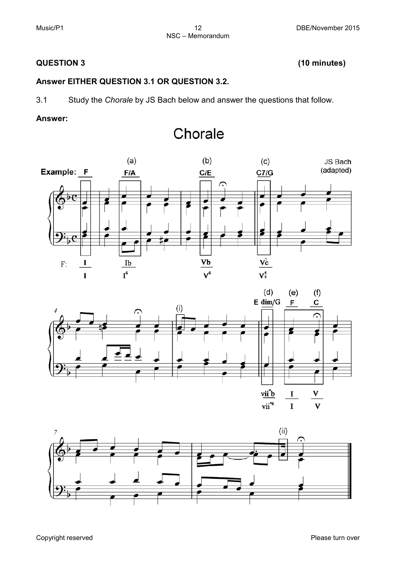# **QUESTION 3 (10 minutes)**

# **Answer EITHER QUESTION 3.1 OR QUESTION 3.2.**

3.1 Study the *Chorale* by JS Bach below and answer the questions that follow.

# **Answer:**



Chorale



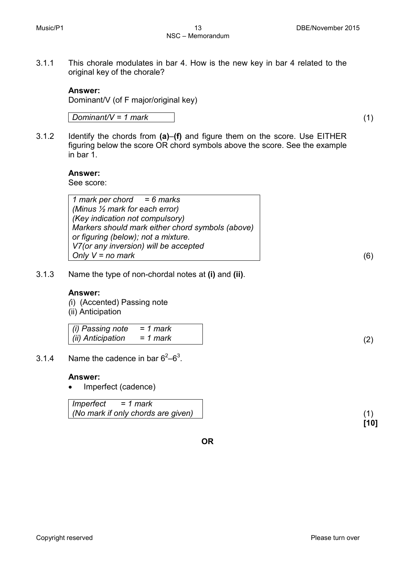3.1.1 This chorale modulates in bar 4. How is the new key in bar 4 related to the original key of the chorale?

# **Answer:**

Dominant/V (of F major/original key)

*Dominant/V = 1 mark* (1)

3.1.2 Identify the chords from **(a)**–**(f)** and figure them on the score. Use EITHER figuring below the score OR chord symbols above the score. See the example in bar 1.

# **Answer:**

See score:

*1 mark per chord = 6 marks (Minus ½ mark for each error) (Key indication not compulsory) Markers should mark either chord symbols (above) or figuring (below); not a mixture. V7(or any inversion) will be accepted Only V = no mark* (6)

3.1.3 Name the type of non-chordal notes at **(i)** and **(ii)**.

# **Answer:**

*(*i) (Accented) Passing note (ii) Anticipation

| (i) Passing note $= 1$ mark |          |  |
|-----------------------------|----------|--|
| (ii) Anticipation           | = 1 mark |  |

3.1.4 Name the cadence in bar  $6^2-6^3$ .

#### **Answer:**

• Imperfect (cadence)

*Imperfect = 1 mark (No mark if only chords are given)* (1)

**OR**

**[10]**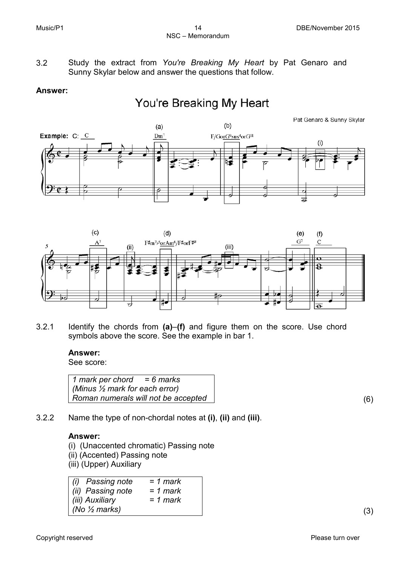3.2 Study the extract from *You're Breaking My Heart* by Pat Genaro and Sunny Skylar below and answer the questions that follow.

# **Answer:**

# You're Breaking My Heart





3.2.1 Identify the chords from **(a)**–**(f)** and figure them on the score. Use chord symbols above the score. See the example in bar 1.

# **Answer:**

See score:

*1 mark per chord = 6 marks (Minus ½ mark for each error) Roman numerals will not be accepted* (6)

3.2.2 Name the type of non-chordal notes at **(i)**, **(ii)** and **(iii)**.

# **Answer:**

(i) (Unaccented chromatic) Passing note (ii) (Accented) Passing note (iii) (Upper) Auxiliary

| Passing note<br>(ii)     | $= 1$ mark |
|--------------------------|------------|
| (ii) Passing note        | $= 1$ mark |
| (iii) Auxiliary          | $= 1$ mark |
| (No $\frac{1}{2}$ marks) |            |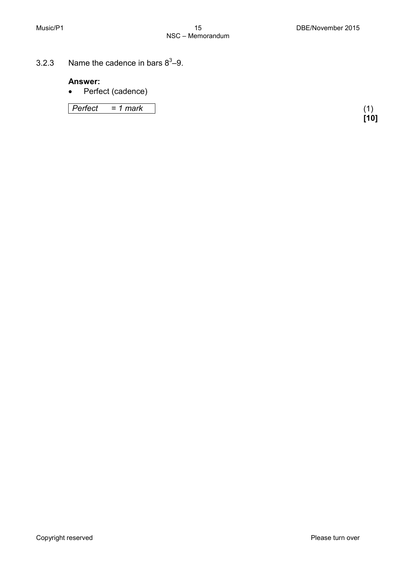3.2.3 Name the cadence in bars  $8^3-9$ .

# **Answer:**

• Perfect (cadence)

*Perfect = 1 mark* (1)

**[10]**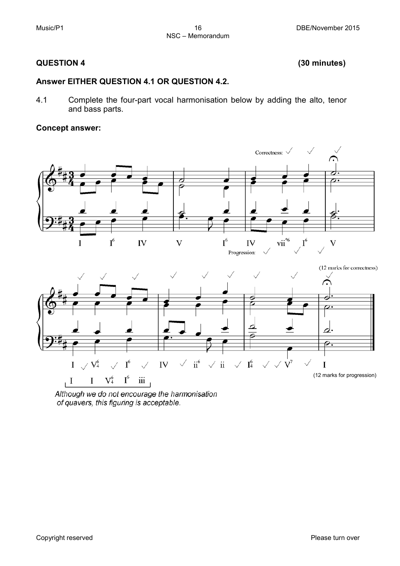# **QUESTION 4 (30 minutes)**

# **Answer EITHER QUESTION 4.1 OR QUESTION 4.2.**

4.1 Complete the four-part vocal harmonisation below by adding the alto, tenor and bass parts.

# **Concept answer:**



Although we do not encourage the harmonisation of quavers, this figuring is acceptable.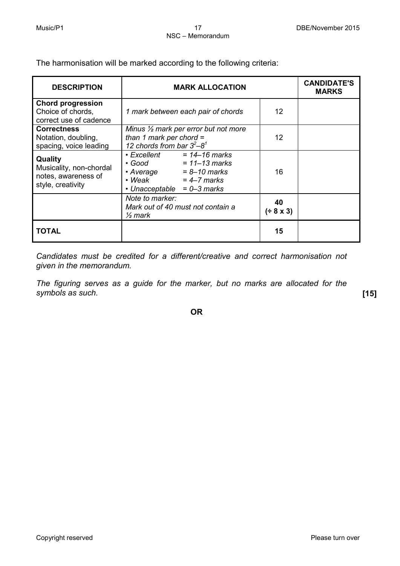The harmonisation will be marked according to the following criteria:

| <b>DESCRIPTION</b>                                                                    | <b>MARK ALLOCATION</b>                                                                                                                                               |                   |  |  |  |
|---------------------------------------------------------------------------------------|----------------------------------------------------------------------------------------------------------------------------------------------------------------------|-------------------|--|--|--|
| <b>Chord progression</b><br>Choice of chords,<br>correct use of cadence               | 1 mark between each pair of chords                                                                                                                                   | 12                |  |  |  |
| <b>Correctness</b><br>Notation, doubling,<br>spacing, voice leading                   | Minus $\frac{1}{2}$ mark per error but not more<br>than 1 mark per chord $=$<br>12 chords from bar $3^2-8^1$                                                         | $12 \overline{ }$ |  |  |  |
| <b>Quality</b><br>Musicality, non-chordal<br>notes, awareness of<br>style, creativity | $\cdot$ Excellent = 14-16 marks<br>$= 11 - 13$ marks<br>$\bullet$ Good<br>$\cdot$ Average = 8-10 marks<br>$\cdot$ Weak = 4-7 marks<br>• Unacceptable $= 0 - 3$ marks | 16                |  |  |  |
|                                                                                       | Note to marker:<br>Mark out of 40 must not contain a<br>$\frac{1}{2}$ mark                                                                                           | 40<br>$(* 8 x 3)$ |  |  |  |
| TOTAL                                                                                 |                                                                                                                                                                      | 15                |  |  |  |

*Candidates must be credited for a different/creative and correct harmonisation not given in the memorandum.*

*The figuring serves as a guide for the marker, but no marks are allocated for the symbols as such.* **[15]**

**OR**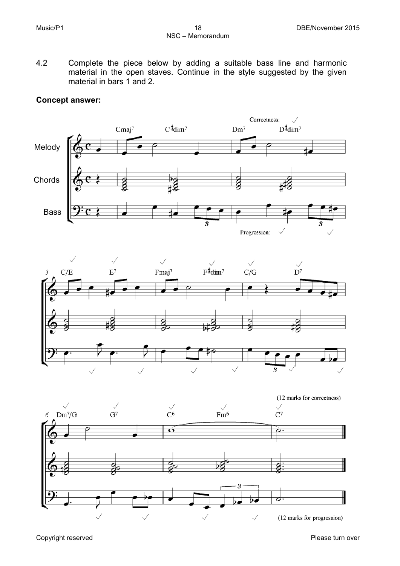4.2 Complete the piece below by adding a suitable bass line and harmonic material in the open staves. Continue in the style suggested by the given material in bars 1 and 2.

# **Concept answer:**





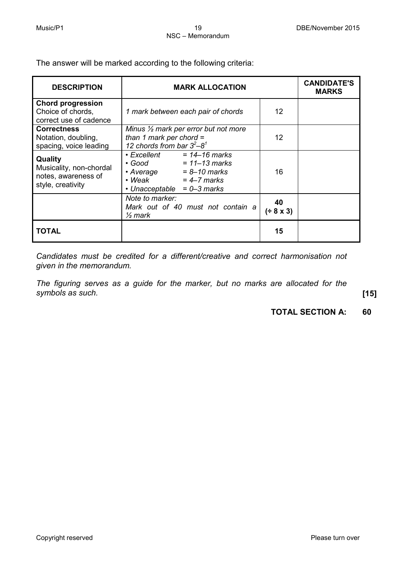The answer will be marked according to the following criteria:

| <b>DESCRIPTION</b>                                                             | <b>MARK ALLOCATION</b>                                                                                                                                             |                   | <b>CANDIDATE'S</b><br><b>MARKS</b> |
|--------------------------------------------------------------------------------|--------------------------------------------------------------------------------------------------------------------------------------------------------------------|-------------------|------------------------------------|
| <b>Chord progression</b><br>Choice of chords,<br>correct use of cadence        | 1 mark between each pair of chords                                                                                                                                 | 12                |                                    |
| <b>Correctness</b><br>Notation, doubling,<br>spacing, voice leading            | Minus 1/2 mark per error but not more<br>than 1 mark per chord $=$<br>12 chords from bar $3^2-8^1$                                                                 | $12 \overline{ }$ |                                    |
| Quality<br>Musicality, non-chordal<br>notes, awareness of<br>style, creativity | $\cdot$ Excellent = 14-16 marks<br>$= 11 - 13$ marks<br>$\bullet$ Good<br>$\cdot$ Average = 8-10 marks<br>$\cdot$ Weak = 4-7 marks<br>• Unacceptable $= 0-3$ marks | 16                |                                    |
|                                                                                | Note to marker:<br>Mark out of 40 must not contain a<br>$\frac{1}{2}$ mark                                                                                         | 40<br>$(+ 8 x 3)$ |                                    |
| TOTAL                                                                          |                                                                                                                                                                    | 15                |                                    |

*Candidates must be credited for a different/creative and correct harmonisation not given in the memorandum.*

*The figuring serves as a guide for the marker, but no marks are allocated for the symbols as such.* **[15]**

# **TOTAL SECTION A: 60**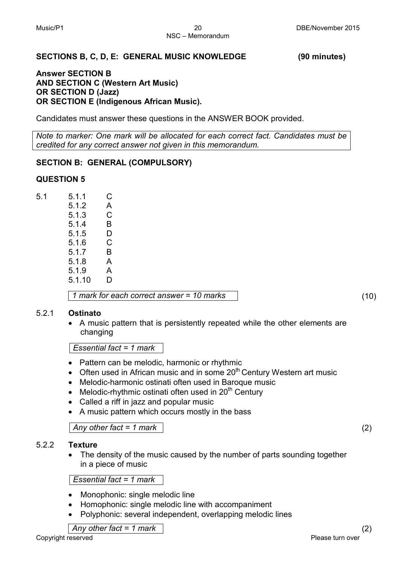# **SECTIONS B, C, D, E: GENERAL MUSIC KNOWLEDGE (90 minutes)**

# **Answer SECTION B AND SECTION C (Western Art Music) OR SECTION D (Jazz) OR SECTION E (Indigenous African Music).**

Candidates must answer these questions in the ANSWER BOOK provided.

*Note to marker: One mark will be allocated for each correct fact. Candidates must be credited for any correct answer not given in this memorandum.*

# **SECTION B: GENERAL (COMPULSORY)**

# **QUESTION 5**

5.1 5.1.1 C 5.1.2 A 5.1.3 C 5.1.4 B 5.1.5 D 5.1.6 C 5.1.7 B<br>5.1.8 A  $5.1.8$ 5.1.9 A 5.1.10 D

*1 mark for each correct answer = 10 marks* (10)

# 5.2.1 **Ostinato**

• A music pattern that is persistently repeated while the other elements are changing

*Essential fact = 1 mark*

- Pattern can be melodic, harmonic or rhythmic
- Often used in African music and in some  $20<sup>th</sup>$  Century Western art music
- Melodic-harmonic ostinati often used in Baroque music
- Melodic-rhythmic ostinati often used in  $20<sup>th</sup>$  Century
- Called a riff in jazz and popular music
- A music pattern which occurs mostly in the bass

*Any other fact = 1 mark* (2)

# 5.2.2 **Texture**

• The density of the music caused by the number of parts sounding together in a piece of music

# *Essential fact = 1 mark*

- Monophonic: single melodic line
- Homophonic: single melodic line with accompaniment
- Polyphonic: several independent, overlapping melodic lines

*Any other fact = 1 mark* (2)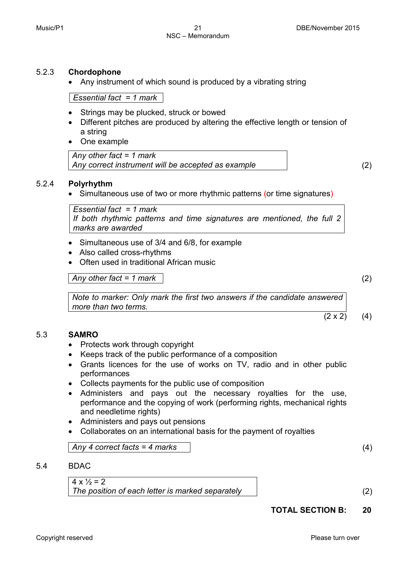# 5.2.3 **Chordophone**

• Any instrument of which sound is produced by a vibrating string

*Essential fact = 1 mark*

- Strings may be plucked, struck or bowed
- Different pitches are produced by altering the effective length or tension of a string
- One example

*Any other fact = 1 mark Any correct instrument will be accepted as example* (2)

# 5.2.4 **Polyrhythm**

• Simultaneous use of two or more rhythmic patterns (or time signatures)

| Essential fact = 1 mark                                                 |  |  |  |  |
|-------------------------------------------------------------------------|--|--|--|--|
| If both rhythmic patterns and time signatures are mentioned, the full 2 |  |  |  |  |
| marks are awarded                                                       |  |  |  |  |

- Simultaneous use of 3/4 and 6/8, for example
- Also called cross-rhythms
- Often used in traditional African music

*Any other fact = 1 mark* (2)

 $(2 \times 2)$  (4)

*Note to marker: Only mark the first two answers if the candidate answered more than two terms.*

#### 5.3 **SAMRO**

- Protects work through copyright
- Keeps track of the public performance of a composition
- Grants licences for the use of works on TV, radio and in other public performances
- Collects payments for the public use of composition
- Administers and pays out the necessary royalties for the use, performance and the copying of work (performing rights, mechanical rights and needletime rights)
- Administers and pays out pensions
- Collaborates on an international basis for the payment of royalties

*Any 4 correct facts = 4 marks* (4)

5.4 BDAC

 $4 \times \frac{1}{2} = 2$ *The position of each letter is marked separately* (2)

**TOTAL SECTION B: 20**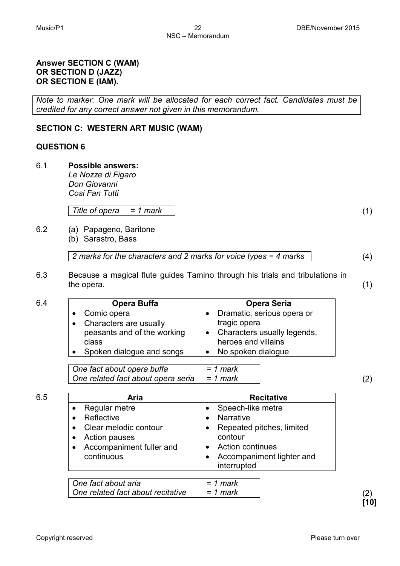*Le Nozze di Figaro Don Giovanni Cosi Fan Tutti*

6.1 **Possible answers:**

**Answer SECTION C (WAM) OR SECTION D (JAZZ) OR SECTION E (IAM).**

*Title of opera = 1 mark* (1)

**SECTION C: WESTERN ART MUSIC (WAM)** 

*credited for any correct answer not given in this memorandum.*

6.2 (a) Papageno, Baritone (b) Sarastro, Bass

*2 marks for the characters and 2 marks for voice types = 4 marks* (4)

6.3 Because a magical flute guides Tamino through his trials and tribulations in the opera. (1)

| 6.4 | Opera Buffa                                                                                | <b>Opera Seria</b>                                                                               |     |
|-----|--------------------------------------------------------------------------------------------|--------------------------------------------------------------------------------------------------|-----|
|     | Comic opera<br>Characters are usually<br>$\bullet$<br>peasants and of the working<br>class | Dramatic, serious opera or<br>tragic opera<br>Characters usually legends,<br>heroes and villains |     |
|     | Spoken dialogue and songs                                                                  | No spoken dialogue                                                                               |     |
|     | One fact about opera buffa<br>One related fact about opera seria                           | $= 1$ mark<br>$= 1$ mark                                                                         | (2) |

| Aria                     | <b>Recitative</b>                        |
|--------------------------|------------------------------------------|
| Regular metre            | Speech-like metre                        |
| Reflective               | <b>Narrative</b>                         |
| Clear melodic contour    | Repeated pitches, limited                |
| Action pauses            | contour                                  |
| Accompaniment fuller and | <b>Action continues</b>                  |
| continuous               | Accompaniment lighter and<br>interrupted |

| One fact about aria               | = 1 mark |  |
|-----------------------------------|----------|--|
| One related fact about recitative | = 1 mark |  |

*Note to marker: One mark will be allocated for each correct fact. Candidates must be* 

**QUESTION 6**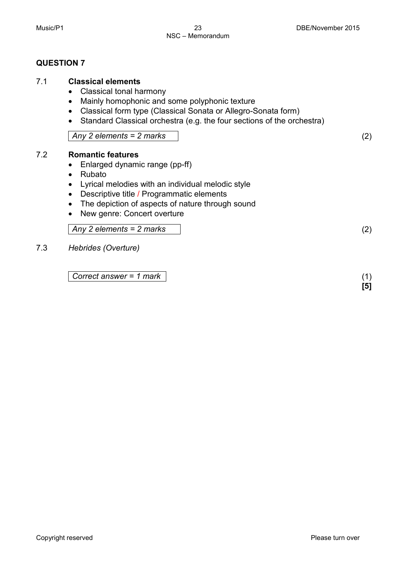# **QUESTION 7**

# 7.1 **Classical elements**

- Classical tonal harmony
- Mainly homophonic and some polyphonic texture
- Classical form type (Classical Sonata or Allegro-Sonata form)
- Standard Classical orchestra (e.g. the four sections of the orchestra)

*Any 2 elements = 2 marks* (2)

# 7.2 **Romantic features**

- Enlarged dynamic range (pp-ff)
- Rubato
- Lyrical melodies with an individual melodic style
- Descriptive title / Programmatic elements
- The depiction of aspects of nature through sound
- New genre: Concert overture

# *Any 2 elements = 2 marks* (2)

7.3 *Hebrides (Overture)*

*Correct answer = 1 mark* (1)

**[5]**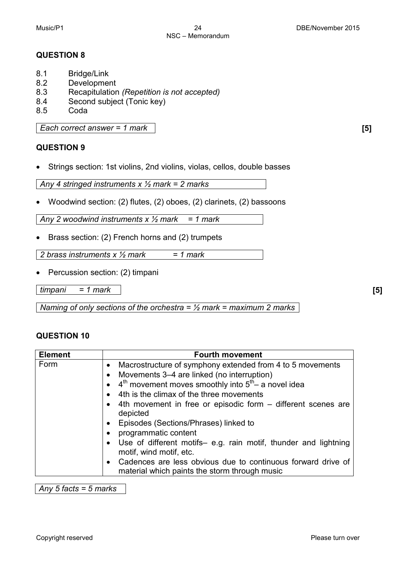# **QUESTION 8**

- 8.1 Bridge/Link
- 8.2 Development<br>8.3 Recapitulation
- 8.3 Recapitulation *(Repetition is not accepted)*
- 8.4 Second subject (Tonic key)<br>8.5 Coda
- **Coda**

*Each correct answer = 1 mark* **[5]**

# **QUESTION 9**

• Strings section: 1st violins, 2nd violins, violas, cellos, double basses

*Any 4 stringed instruments x ½ mark = 2 marks*

• Woodwind section: (2) flutes, (2) oboes, (2) clarinets, (2) bassoons

*Any 2 woodwind instruments x ½ mark = 1 mark*

• Brass section: (2) French horns and (2) trumpets

*2 brass instruments x ½ mark = 1 mark*

• Percussion section: (2) timpani

*timpani = 1 mark* **[5]**

*Naming of only sections of the orchestra = ½ mark = maximum 2 marks*

# **QUESTION 10**

| <b>Element</b> | <b>Fourth movement</b>                                                                                        |
|----------------|---------------------------------------------------------------------------------------------------------------|
| Form           | Macrostructure of symphony extended from 4 to 5 movements                                                     |
|                | Movements 3–4 are linked (no interruption)                                                                    |
|                | $4th$ movement moves smoothly into $5th$ a novel idea                                                         |
|                | 4th is the climax of the three movements                                                                      |
|                | 4th movement in free or episodic form – different scenes are<br>depicted                                      |
|                | Episodes (Sections/Phrases) linked to                                                                         |
|                | programmatic content                                                                                          |
|                | Use of different motifs- e.g. rain motif, thunder and lightning<br>motif, wind motif, etc.                    |
|                | Cadences are less obvious due to continuous forward drive of<br>material which paints the storm through music |

*Any 5 facts = 5 marks*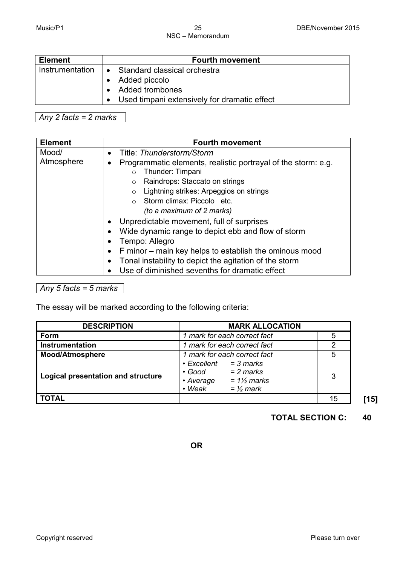# NSC – Memorandum

| <b>Element</b>  | <b>Fourth movement</b>                                                    |  |  |
|-----------------|---------------------------------------------------------------------------|--|--|
| Instrumentation | • Standard classical orchestra<br>Added piccolo<br><b>Added trombones</b> |  |  |
|                 | • Used timpani extensively for dramatic effect                            |  |  |

*Any 2 facts = 2 marks*

| Mood/<br>Title: Thunderstorm/Storm<br>$\bullet$<br>Atmosphere<br>Programmatic elements, realistic portrayal of the storm: e.g.<br>٠                                                                                                                                                                                                                                                                                                                                                   | <b>Element</b> | <b>Fourth movement</b> |
|---------------------------------------------------------------------------------------------------------------------------------------------------------------------------------------------------------------------------------------------------------------------------------------------------------------------------------------------------------------------------------------------------------------------------------------------------------------------------------------|----------------|------------------------|
| $\circ$<br>Raindrops: Staccato on strings<br>$\circ$<br>Lightning strikes: Arpeggios on strings<br>$\circ$<br>$\circ$ Storm climax: Piccolo etc.<br>(to a maximum of 2 marks)<br>Unpredictable movement, full of surprises<br>$\bullet$<br>Wide dynamic range to depict ebb and flow of storm<br>Tempo: Allegro<br>F minor – main key helps to establish the ominous mood<br>Tonal instability to depict the agitation of the storm<br>Use of diminished sevenths for dramatic effect |                | Thunder: Timpani       |

# *Any 5 facts = 5 marks*

The essay will be marked according to the following criteria:

| <b>DESCRIPTION</b>                 | <b>MARK ALLOCATION</b>                                                                                                                   |    |
|------------------------------------|------------------------------------------------------------------------------------------------------------------------------------------|----|
| Form                               | 1 mark for each correct fact                                                                                                             |    |
| <b>Instrumentation</b>             | 1 mark for each correct fact                                                                                                             |    |
| <b>Mood/Atmosphere</b>             | 1 mark for each correct fact                                                                                                             |    |
| Logical presentation and structure | $\cdot$ Excellent<br>$=$ 3 marks<br>$= 2$ marks<br>$\bullet$ Good<br>$= 1\frac{1}{2}$ marks<br>• Average<br>$\cdot$ Weak<br>$=$ 1/2 mark | 3  |
| <b>TOTAL</b>                       |                                                                                                                                          | 15 |

**TOTAL SECTION C: 40**

**OR**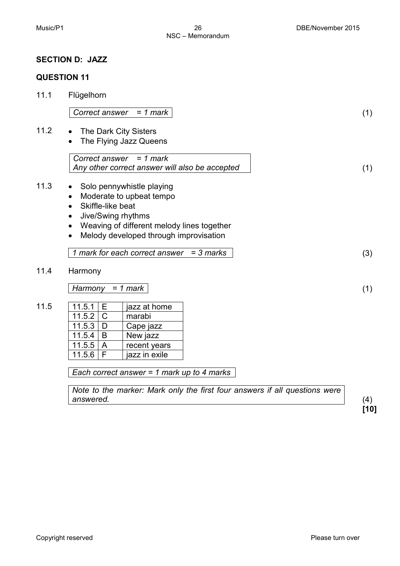# **SECTION D: JAZZ**

# **QUESTION 11**

| 11.1 | Flügelhorn                      |                                                |  |     |
|------|---------------------------------|------------------------------------------------|--|-----|
|      |                                 | Correct answer = $1$ mark                      |  | (1) |
| 11.2 |                                 | The Dark City Sisters                          |  |     |
|      |                                 | The Flying Jazz Queens                         |  |     |
|      |                                 | Correct answer = $1$ mark                      |  |     |
|      |                                 | Any other correct answer will also be accepted |  | (1) |
| 11.3 | ٠                               | Solo pennywhistle playing                      |  |     |
|      | ٠                               | Moderate to upbeat tempo                       |  |     |
|      | Skiffle-like beat<br>$\bullet$  |                                                |  |     |
|      | Jive/Swing rhythms<br>$\bullet$ |                                                |  |     |
|      | $\bullet$                       | Weaving of different melody lines together     |  |     |
|      | $\bullet$                       | Melody developed through improvisation         |  |     |
|      |                                 |                                                |  |     |
|      |                                 | 1 mark for each correct answer $=$ 3 marks     |  | (3) |
| 11.4 |                                 |                                                |  |     |
|      | Harmony                         |                                                |  |     |
|      | Harmony                         | $= 1$ mark                                     |  | (1) |
|      |                                 |                                                |  |     |
| 11.5 | 11.5.1<br>Е                     | jazz at home                                   |  |     |
|      | 11.5.2<br>$\mathsf{C}$          | marabi                                         |  |     |
|      | 11.5.3<br>D                     | Cape jazz                                      |  |     |
|      | 11.5.4<br>B                     | New jazz                                       |  |     |
|      | 11.5.5<br>$\mathsf{A}$          | recent years                                   |  |     |
|      | 11.5.6<br>F                     | jazz in exile                                  |  |     |
|      |                                 |                                                |  |     |
|      |                                 | Each correct answer = 1 mark up to 4 marks     |  |     |

*Note to the marker: Mark only the first four answers if all questions were answered.* (4)

**[10]**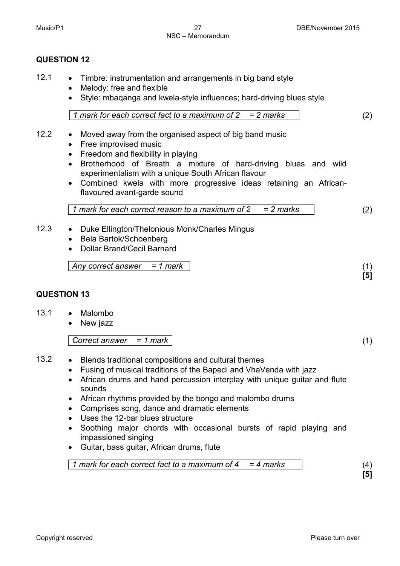# **QUESTION 12**

- 12.1 Timbre: instrumentation and arrangements in big band style
	- Melody: free and flexible
	- Style: mbaqanga and kwela-style influences; hard-driving blues style

$$
1 mark for each correct fact to a maximum of 2 = 2 marks
$$
\n(2)

- 12.2 Moved away from the organised aspect of big band music
	- Free improvised music
	- Freedom and flexibility in playing
	- Brotherhood of Breath a mixture of hard-driving blues and wild experimentalism with a unique South African flavour
	- Combined kwela with more progressive ideas retaining an Africanflavoured avant-garde sound

*1 mark for each correct reason to a maximum of 2 = 2 marks* (2)

- 12.3 Duke Ellington/Thelonious Monk/Charles Mingus
	- Bela Bartok/Schoenberg
	- Dollar Brand/Cecil Barnard

*Any correct answer = 1 mark* (1)

# **QUESTION 13**

- 13.1 Malombo
	- New jazz

*Correct answer = 1 mark* (1)

- 13.2 Blends traditional compositions and cultural themes
	- Fusing of musical traditions of the Bapedi and VhaVenda with jazz
	- African drums and hand percussion interplay with unique guitar and flute sounds
	- African rhythms provided by the bongo and malombo drums
	- Comprises song, dance and dramatic elements
	- Uses the 12-bar blues structure
	- Soothing major chords with occasional bursts of rapid playing and impassioned singing
	- Guitar, bass guitar, African drums, flute

*1 mark for each correct fact to a maximum of 4 = 4 marks* (4)

**[5]**

**[5]**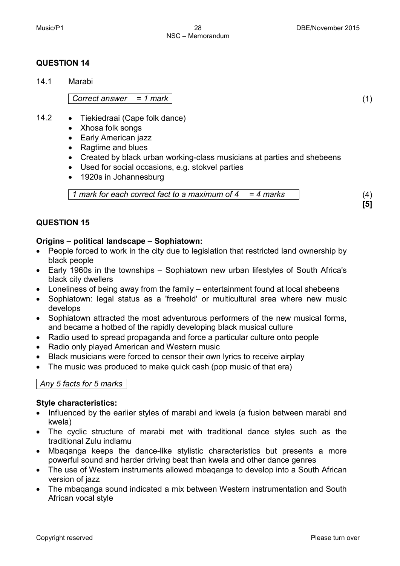# **QUESTION 14**

14.1 Marabi

*Correct answer = 1 mark* (1)

- 14.2 Tiekiedraai (Cape folk dance)
	- Xhosa folk songs
	- Early American jazz
	- Ragtime and blues
	- Created by black urban working-class musicians at parties and shebeens
	- Used for social occasions, e.g. stokvel parties
	- 1920s in Johannesburg

*1 mark for each correct fact to a maximum of 4 = 4 marks* (4)

# **QUESTION 15**

# **Origins – political landscape – Sophiatown:**

- People forced to work in the city due to legislation that restricted land ownership by black people
- Early 1960s in the townships Sophiatown new urban lifestyles of South Africa's black city dwellers
- Loneliness of being away from the family entertainment found at local shebeens
- Sophiatown: legal status as a 'freehold' or multicultural area where new music develops
- Sophiatown attracted the most adventurous performers of the new musical forms, and became a hotbed of the rapidly developing black musical culture
- Radio used to spread propaganda and force a particular culture onto people
- Radio only played American and Western music
- Black musicians were forced to censor their own lyrics to receive airplay
- The music was produced to make quick cash (pop music of that era)

# *Any 5 facts for 5 marks*

# **Style characteristics:**

- Influenced by the earlier styles of marabi and kwela (a fusion between marabi and kwela)
- The cyclic structure of marabi met with traditional dance styles such as the traditional Zulu indlamu
- Mbaqanga keeps the dance-like stylistic characteristics but presents a more powerful sound and harder driving beat than kwela and other dance genres
- The use of Western instruments allowed mbaqanga to develop into a South African version of jazz
- The mbaqanga sound indicated a mix between Western instrumentation and South African vocal style

**[5]**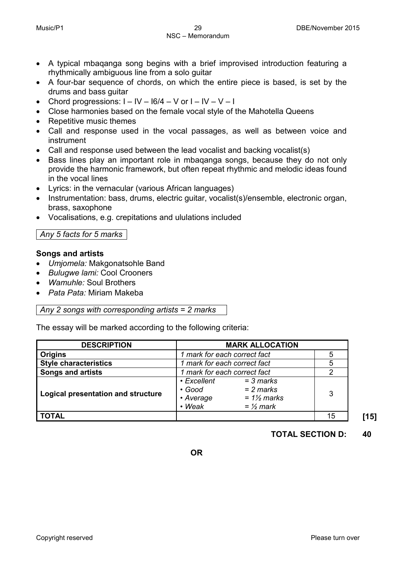- A typical mbaqanga song begins with a brief improvised introduction featuring a rhythmically ambiguous line from a solo guitar
- A four-bar sequence of chords, on which the entire piece is based, is set by the drums and bass guitar
- Chord progressions:  $I IV 16/4 V$  or  $I IV V I$
- Close harmonies based on the female vocal style of the Mahotella Queens
- Repetitive music themes
- Call and response used in the vocal passages, as well as between voice and instrument
- Call and response used between the lead vocalist and backing vocalist(s)
- Bass lines play an important role in mbaqanga songs, because they do not only provide the harmonic framework, but often repeat rhythmic and melodic ideas found in the vocal lines
- Lyrics: in the vernacular (various African languages)
- Instrumentation: bass, drums, electric guitar, vocalist(s)/ensemble, electronic organ, brass, saxophone
- Vocalisations, e.g. crepitations and ululations included

# *Any 5 facts for 5 marks*

# **Songs and artists**

- *Umjomela:* Makgonatsohle Band
- *Bulugwe lami:* Cool Crooners
- *Wamuhle:* Soul Brothers
- *Pata Pata:* Miriam Makeba

# *Any 2 songs with corresponding artists = 2 marks*

The essay will be marked according to the following criteria:

| <b>DESCRIPTION</b>                 | <b>MARK ALLOCATION</b>                                   |                                                                      |    |
|------------------------------------|----------------------------------------------------------|----------------------------------------------------------------------|----|
| <b>Origins</b>                     | 1 mark for each correct fact                             |                                                                      |    |
| <b>Style characteristics</b>       | 1 mark for each correct fact                             |                                                                      |    |
| <b>Songs and artists</b>           | 1 mark for each correct fact                             |                                                                      |    |
| Logical presentation and structure | • Excellent<br>$\cdot$ Good<br>• Average<br>$\cdot$ Weak | $=$ 3 marks<br>$= 2$ marks<br>$= 1\frac{1}{2}$ marks<br>$=$ 1/2 mark | 3  |
| <b>TOTAL</b>                       |                                                          |                                                                      | 15 |

# **TOTAL SECTION D: 40**

**OR**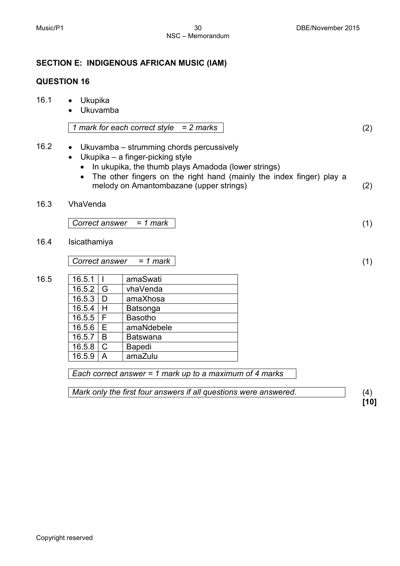# 16.2 • Ukuvamba – strumming chords percussively

• Ukupika – a finger-picking style

**SECTION E: INDIGENOUS AFRICAN MUSIC (IAM)**

- In ukupika, the thumb plays Amadoda (lower strings)
- The other fingers on the right hand (mainly the index finger) play a melody on Amantombazane (upper strings) (2)
- 16.3 VhaVenda

*Correct answer = 1 mark* (1)

16.4 Isicathamiya

16.5

*Correct answer = 1 mark* (1)

| 16.5.1     |               | amaSwati        |
|------------|---------------|-----------------|
| $16.5.2$ G |               | vhaVenda        |
| 16.5.3     | D             | amaXhosa        |
| 16.5.4     | H             | Batsonga        |
| $16.5.5$ F |               | <b>Basotho</b>  |
| 16.5.6     | E             | amaNdebele      |
| 16.5.7     | B             | <b>Batswana</b> |
| 16.5.8     | $\mathcal{C}$ | <b>Bapedi</b>   |
| 16.5.9     | $\mathsf{A}$  | amaZulu         |

*Each correct answer = 1 mark up to a maximum of 4 marks*

*Mark only the first four answers if all questions were answered.*

(4) **[10]**

**QUESTION 16**

16.1 • Ukupika

• Ukuvamba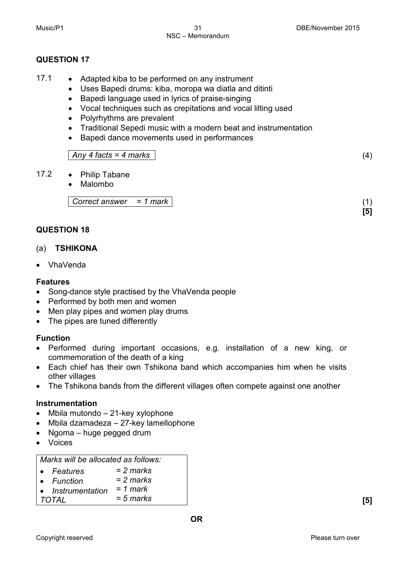# **QUESTION 17**

- 17.1 Adapted kiba to be performed on any instrument
	- Uses Bapedi drums: kiba, moropa wa diatla and ditinti
	- Bapedi language used in lyrics of praise-singing
	- Vocal techniques such as crepitations and vocal lilting used
	- Polyrhythms are prevalent
	- Traditional Sepedi music with a modern beat and instrumentation
	- Bapedi dance movements used in performances

*Any 4 facts = 4 marks* (4)

- 17.2 Philip Tabane
	- Malombo

*Correct answer = 1 mark* (1)

# **QUESTION 18**

# (a) **TSHIKONA**

• VhaVenda

# **Features**

- Song-dance style practised by the VhaVenda people
- Performed by both men and women
- Men play pipes and women play drums
- The pipes are tuned differently

# **Function**

- Performed during important occasions, e.g. installation of a new king, or commemoration of the death of a king
- Each chief has their own Tshikona band which accompanies him when he visits other villages
- The Tshikona bands from the different villages often compete against one another

# **Instrumentation**

- Mbila mutondo 21-key xylophone
- Mbila dzamadeza 27-key lamellophone
- Ngoma huge pegged drum
- Voices

# *Marks will be allocated as follows:*

- *Features = 2 marks*
- *Function = 2 marks*
- *Instrumentation = 1 mark*

*TOTAL = 5 marks* **[5]**

**[5]**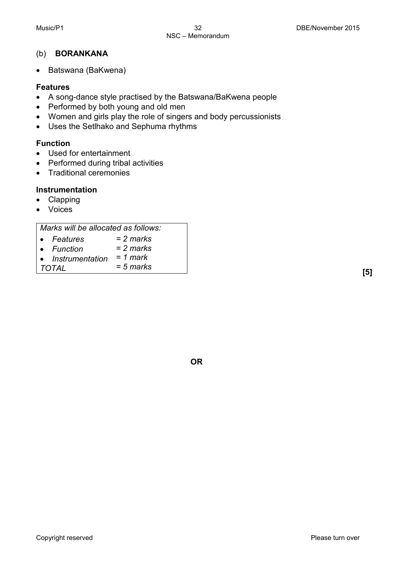# (b) **BORANKANA**

• Batswana (BaKwena)

# **Features**

- A song-dance style practised by the Batswana/BaKwena people
- Performed by both young and old men
- Women and girls play the role of singers and body percussionists
- Uses the Setlhako and Sephuma rhythms

# **Function**

- Used for entertainment
- Performed during tribal activities
- Traditional ceremonies

# **Instrumentation**

- Clapping
- Voices

# *Marks will be allocated as follows:*

| • Features                               | = 2 marks   |
|------------------------------------------|-------------|
| • Function<br>• Instrumentation = 1 mark | $= 2$ marks |
| TOTAL                                    | $= 5$ marks |
|                                          |             |

**OR**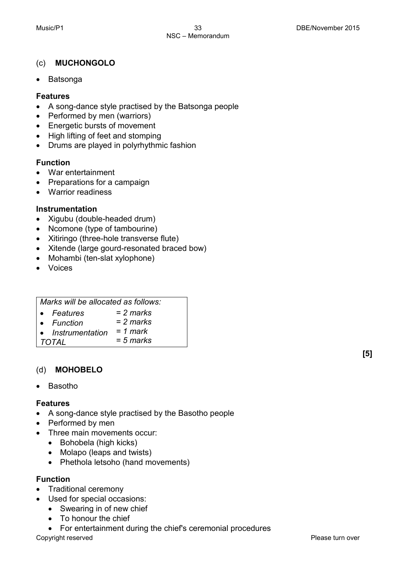# (c) **MUCHONGOLO**

• Batsonga

# **Features**

- A song-dance style practised by the Batsonga people
- Performed by men (warriors)
- Energetic bursts of movement
- High lifting of feet and stomping
- Drums are played in polyrhythmic fashion

# **Function**

- War entertainment
- Preparations for a campaign
- Warrior readiness

# **Instrumentation**

- Xigubu (double-headed drum)
- Ncomone (type of tambourine)
- Xitiringo (three-hole transverse flute)
- Xitende (large gourd-resonated braced bow)
- Mohambi (ten-slat xylophone)
- Voices

| Marks will be allocated as follows: |  |
|-------------------------------------|--|

- *Features = 2 marks*
- *Function = 2 marks*
- *Instrumentation = 1 mark*
- *TOTAL = 5 marks*

# (d) **MOHOBELO**

• Basotho

# **Features**

- A song-dance style practised by the Basotho people
- Performed by men
- Three main movements occur:
	- Bohobela (high kicks)
	- Molapo (leaps and twists)
	- Phethola letsoho (hand movements)

# **Function**

- Traditional ceremony
- Used for special occasions:
	- Swearing in of new chief
	- To honour the chief
	- For entertainment during the chief's ceremonial procedures

Copyright reserved **Please turn over the Copyright reserved** Please turn over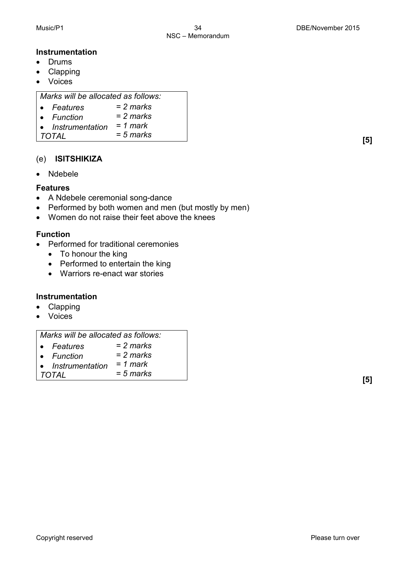# **Instrumentation**

- Drums
- Clapping
- Voices

*Marks will be allocated as follows:*

- *Features = 2 marks*
- *Function = 2 marks*
- *Instrumentation = 1 mark*
- *TOTAL = 5 marks* **[5]**

# (e) **ISITSHIKIZA**

• Ndebele

# **Features**

- A Ndebele ceremonial song-dance
- Performed by both women and men (but mostly by men)
- Women do not raise their feet above the knees

# **Function**

- Performed for traditional ceremonies
	- To honour the king
	- Performed to entertain the king
	- Warriors re-enact war stories

# **Instrumentation**

- Clapping
- Voices

# *Marks will be allocated as follows:*

| • Features        | = 2 marks   |
|-------------------|-------------|
| • Function        | $= 2$ marks |
| • Instrumentation | $= 1$ mark  |

• *Instrumentation TOTAL = 5 marks*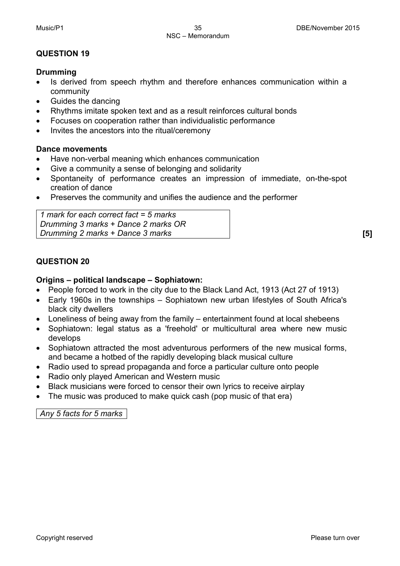# **QUESTION 19**

# **Drumming**

- Is derived from speech rhythm and therefore enhances communication within a community
- Guides the dancing
- Rhythms imitate spoken text and as a result reinforces cultural bonds
- Focuses on cooperation rather than individualistic performance
- Invites the ancestors into the ritual/ceremony

# **Dance movements**

- Have non-verbal meaning which enhances communication
- Give a community a sense of belonging and solidarity
- Spontaneity of performance creates an impression of immediate, on-the-spot creation of dance
- Preserves the community and unifies the audience and the performer

*1 mark for each correct fact = 5 marks Drumming 3 marks + Dance 2 marks OR Drumming 2 marks + Dance 3 marks* **[5]**

# **QUESTION 20**

# **Origins – political landscape – Sophiatown:**

- People forced to work in the city due to the Black Land Act, 1913 (Act 27 of 1913)
- Early 1960s in the townships Sophiatown new urban lifestyles of South Africa's black city dwellers
- Loneliness of being away from the family entertainment found at local shebeens
- Sophiatown: legal status as a 'freehold' or multicultural area where new music develops
- Sophiatown attracted the most adventurous performers of the new musical forms, and became a hotbed of the rapidly developing black musical culture
- Radio used to spread propaganda and force a particular culture onto people
- Radio only played American and Western music
- Black musicians were forced to censor their own lyrics to receive airplay
- The music was produced to make quick cash (pop music of that era)

*Any 5 facts for 5 marks*